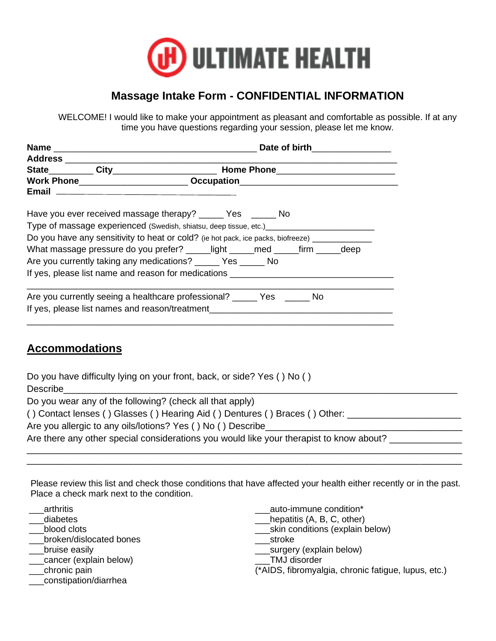

## **Massage Intake Form - CONFIDENTIAL INFORMATION**

WELCOME! I would like to make your appointment as pleasant and comfortable as possible. If at any time you have questions regarding your session, please let me know.

|                                                                                                                                                                                                                                                                                                                                                                                                                                                                           | Date of birth__________________ |  |  |  |  |
|---------------------------------------------------------------------------------------------------------------------------------------------------------------------------------------------------------------------------------------------------------------------------------------------------------------------------------------------------------------------------------------------------------------------------------------------------------------------------|---------------------------------|--|--|--|--|
|                                                                                                                                                                                                                                                                                                                                                                                                                                                                           |                                 |  |  |  |  |
| Work Phone_______________________________Occupation_____________________________                                                                                                                                                                                                                                                                                                                                                                                          |                                 |  |  |  |  |
| Have you ever received massage therapy? ______ Yes ______ No<br>Type of massage experienced (Swedish, shiatsu, deep tissue, etc.)<br>Do you have any sensitivity to heat or cold? (ie hot pack, ice packs, biofreeze) _____________<br>What massage pressure do you prefer? _____light _____med _____firm _____deep<br>Are you currently taking any medications? ______ Yes ______ No<br>If yes, please list name and reason for medications ____________________________ |                                 |  |  |  |  |
| Are you currently seeing a healthcare professional? ______ Yes ______ No<br>If yes, please list names and reason/treatment                                                                                                                                                                                                                                                                                                                                                |                                 |  |  |  |  |

### **Accommodations**

| Do you have difficulty lying on your front, back, or side? Yes () No ()                 |
|-----------------------------------------------------------------------------------------|
| Describe                                                                                |
| Do you wear any of the following? (check all that apply)                                |
| () Contact lenses () Glasses () Hearing Aid () Dentures () Braces () Other: ________    |
| Are you allergic to any oils/lotions? Yes () No () Describe                             |
| Are there any other special considerations you would like your therapist to know about? |
|                                                                                         |

Please review this list and check those conditions that have affected your health either recently or in the past. Place a check mark next to the condition.

\_\_\_\_\_\_\_\_\_\_\_\_\_\_\_\_\_\_\_\_\_\_\_\_\_\_\_\_\_\_\_\_\_\_\_\_\_\_\_\_\_\_\_\_\_\_\_\_\_\_\_\_\_\_\_\_\_\_\_\_\_\_\_\_\_\_\_\_\_\_\_\_\_\_\_\_\_\_\_\_\_\_\_\_

- \_\_\_arthritis
- \_\_\_diabetes
- blood clots
- \_\_\_broken/dislocated bones
- \_\_\_bruise easily
- \_\_cancer (explain below)
- \_\_\_chronic pain
- \_\_\_constipation/diarrhea
- auto-immune condition\*
- hepatitis (A, B, C, other)
- \_\_\_skin conditions (explain below)
- \_\_\_stroke
- \_\_\_surgery (explain below)
- \_\_\_TMJ disorder
- (\*AIDS, fibromyalgia, chronic fatigue, lupus, etc.)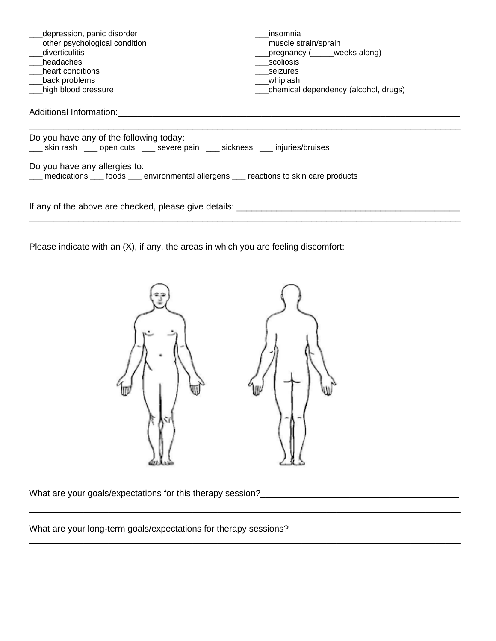| depression, panic disorder<br>other psychological condition<br>diverticulitis<br>headaches<br>heart conditions<br>back problems<br>high blood pressure                                                                                                 | insomnia<br>muscle strain/sprain<br>pregnancy (____weeks along)<br>scoliosis<br>seizures<br>whiplash<br>___chemical dependency (alcohol, drugs) |  |  |  |
|--------------------------------------------------------------------------------------------------------------------------------------------------------------------------------------------------------------------------------------------------------|-------------------------------------------------------------------------------------------------------------------------------------------------|--|--|--|
| Additional Information:                                                                                                                                                                                                                                |                                                                                                                                                 |  |  |  |
| Do you have any of the following today:<br>___ skin rash ___ open cuts ___ severe pain ___ sickness ___ injuries/bruises<br>Do you have any allergies to:<br>___ medications ___ foods ___ environmental allergens ___ reactions to skin care products |                                                                                                                                                 |  |  |  |
| If any of the above are checked, please give details:                                                                                                                                                                                                  |                                                                                                                                                 |  |  |  |

Please indicate with an (X), if any, the areas in which you are feeling discomfort:



\_\_\_\_\_\_\_\_\_\_\_\_\_\_\_\_\_\_\_\_\_\_\_\_\_\_\_\_\_\_\_\_\_\_\_\_\_\_\_\_\_\_\_\_\_\_\_\_\_\_\_\_\_\_\_\_\_\_\_\_\_\_\_\_\_\_\_\_\_\_\_\_\_\_\_\_\_\_\_\_\_\_\_\_\_\_\_

\_\_\_\_\_\_\_\_\_\_\_\_\_\_\_\_\_\_\_\_\_\_\_\_\_\_\_\_\_\_\_\_\_\_\_\_\_\_\_\_\_\_\_\_\_\_\_\_\_\_\_\_\_\_\_\_\_\_\_\_\_\_\_\_\_\_\_\_\_\_\_\_\_\_\_\_\_\_\_\_\_\_\_\_\_\_\_

What are your goals/expectations for this therapy session?\_\_\_\_\_\_\_\_\_\_\_\_\_\_\_\_\_\_\_\_\_\_\_\_\_\_\_\_\_\_\_\_\_\_\_\_\_\_\_\_

What are your long-term goals/expectations for therapy sessions?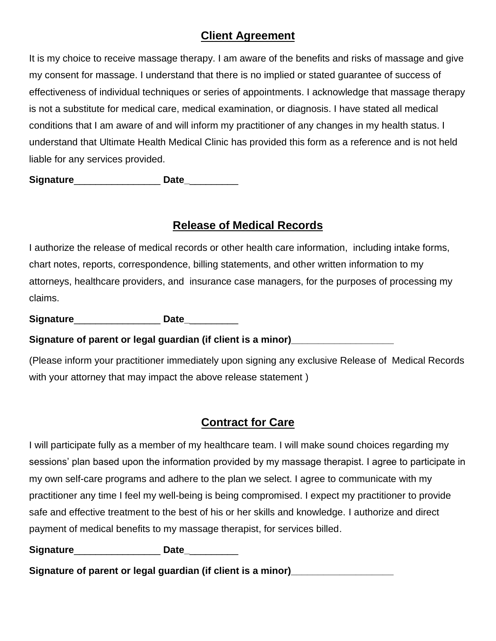### **Client Agreement**

It is my choice to receive massage therapy. I am aware of the benefits and risks of massage and give my consent for massage. I understand that there is no implied or stated guarantee of success of effectiveness of individual techniques or series of appointments. I acknowledge that massage therapy is not a substitute for medical care, medical examination, or diagnosis. I have stated all medical conditions that I am aware of and will inform my practitioner of any changes in my health status. I understand that Ultimate Health Medical Clinic has provided this form as a reference and is not held liable for any services provided.

**Signature**\_\_\_\_\_\_\_\_\_\_\_\_\_\_\_\_ **Date\_**\_\_\_\_\_\_\_\_\_

#### **Release of Medical Records**

I authorize the release of medical records or other health care information, including intake forms, chart notes, reports, correspondence, billing statements, and other written information to my attorneys, healthcare providers, and insurance case managers, for the purposes of processing my claims.

**Signature**\_\_\_\_\_\_\_\_\_\_\_\_\_\_\_\_ **Date\_**\_\_\_\_\_\_\_\_\_

**Signature of parent or legal guardian (if client is a minor)\_\_\_\_\_\_\_\_\_\_\_\_\_\_\_\_\_\_\_**

(Please inform your practitioner immediately upon signing any exclusive Release of Medical Records with your attorney that may impact the above release statement )

## **Contract for Care**

I will participate fully as a member of my healthcare team. I will make sound choices regarding my sessions' plan based upon the information provided by my massage therapist. I agree to participate in my own self-care programs and adhere to the plan we select. I agree to communicate with my practitioner any time I feel my well-being is being compromised. I expect my practitioner to provide safe and effective treatment to the best of his or her skills and knowledge. I authorize and direct payment of medical benefits to my massage therapist, for services billed.

**Signature**\_\_\_\_\_\_\_\_\_\_\_\_\_\_\_\_ **Date\_**\_\_\_\_\_\_\_\_\_

**Signature of parent or legal guardian (if client is a minor)\_\_\_\_\_\_\_\_\_\_\_\_\_\_\_\_\_\_\_**